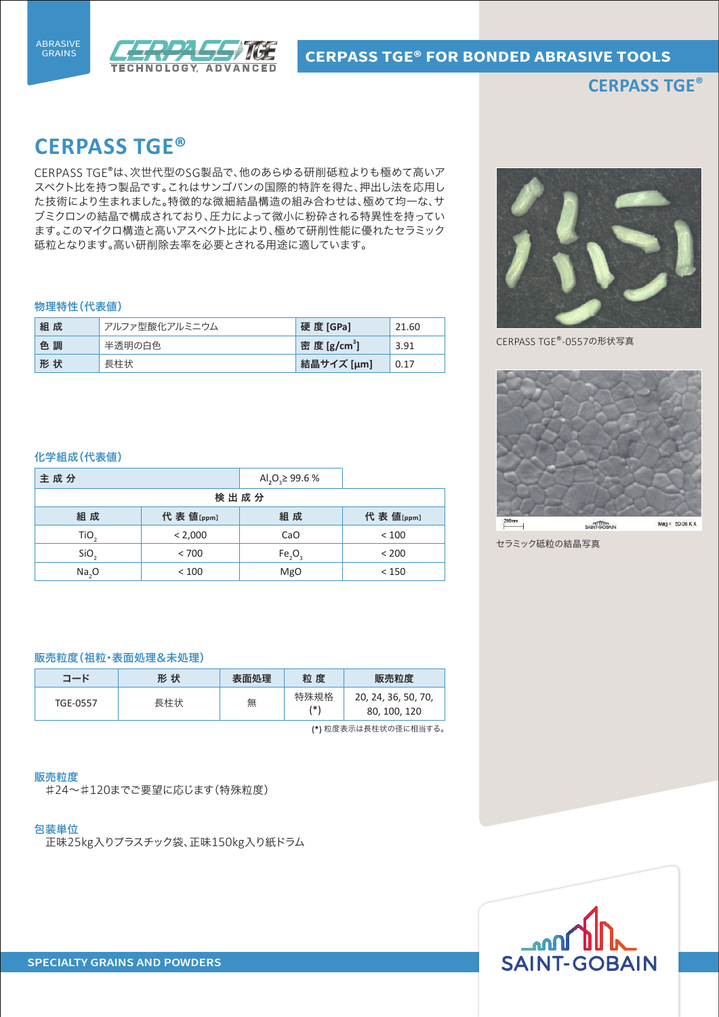



# **CERPASS TGE®**

# **CERPASS TGE®**

CERPASS TGE®は、次世代型のSG製品で、他のあらゆる研削砥粒よりも極めて高いア スペクト比を持つ製品です。これはサンゴバンの国際的特許を得た、押出し法を応用し た技術により生まれました。特徴的な微細結晶構造の組み合わせは、極めて均一な、サ ブミクロンの結晶で構成されており、圧力によって微小に粉砕される特異性を持ってい ます。このマイクロ構造と高いアスペクト比により、極めて研削性能に優れたセラミック 砥粒となります。高い研削除去率を必要とされる用途に適しています。

### 物理特性(代表値)

| 組成 | アルファ型酸化アルミニウム | 硬 度 [GPa]                | 21.60 |
|----|---------------|--------------------------|-------|
| 色調 | 半透明の白色        | 密 度 [g/cm <sup>3</sup> ] | 3.91  |
| 形状 | 長柱状           | 結晶サイズ [μm]               | 0.17  |



CERPASS TGE®-0557の形状写真



セラミック砥粒の結晶写真

#### 化学組成(代表値)

| 主成分              |           | Al <sub>2</sub> O <sub>3</sub> $\geq$ 99.6 % |           |  |
|------------------|-----------|----------------------------------------------|-----------|--|
| 検出成分             |           |                                              |           |  |
| 組成               | 代表 值[ppm] | 組成                                           | 代表 值[ppm] |  |
| TiO <sub>2</sub> | < 2,000   | CaO                                          | < 100     |  |
| SiO,             | < 700     | Fe, O,                                       | < 200     |  |
| Na, O            | < 100     | <b>MgO</b>                                   | < 150     |  |

#### 販売粒度(祖粒・表面処理&未処理)

| コード                 | 形 状 | 表面処理 | 粒度          | 販売粒度                                |
|---------------------|-----|------|-------------|-------------------------------------|
| TGE-0557            | 長柱状 | 無    | 特殊規格<br>/*۱ | 20, 24, 36, 50, 70,<br>80, 100, 120 |
| (*) 粒度実示け長柱状の径に相当する |     |      |             |                                     |

表示は長柱状の径に相

#### 販売粒度

♯24~♯120までご要望に応じます(特殊粒度)

#### 包装単位

正味25kg入りプラスチック袋、正味150kg入り紙ドラム